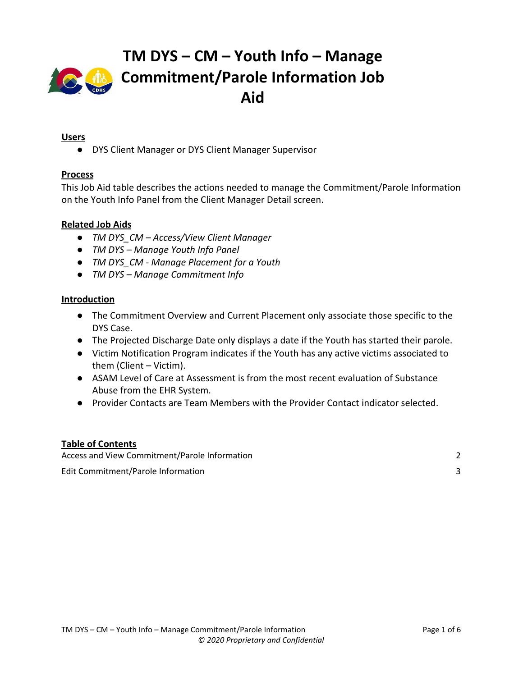

### **Users**

● DYS Client Manager or DYS Client Manager Supervisor

### **Process**

This Job Aid table describes the actions needed to manage the Commitment/Parole Information on the Youth Info Panel from the Client Manager Detail screen.

### **Related Job Aids**

- *● TM DYS\_CM Access/View Client Manager*
- *● TM DYS Manage Youth Info Panel*
- *● TM DYS\_CM Manage Placement for a Youth*
- *● TM DYS Manage Commitment Info*

#### **Introduction**

- The Commitment Overview and Current Placement only associate those specific to the DYS Case.
- The Projected Discharge Date only displays a date if the Youth has started their parole.
- Victim Notification Program indicates if the Youth has any active victims associated to them (Client – Victim).
- ASAM Level of Care at Assessment is from the most recent evaluation of Substance Abuse from the EHR System.
- Provider Contacts are Team Members with the Provider Contact indicator selected.

#### **Table of Contents**

Access and View [Commitment/Parole](#page-1-0) Information [2](#page-1-0) Edit [Commitment/Parole](#page-2-0) Information [3](#page-2-0)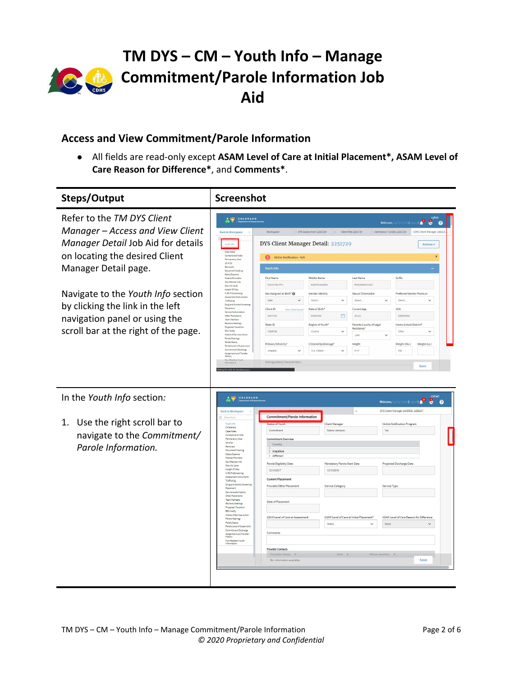

# **TM DYS – CM – Youth Info – Manage Commitment/Parole Information Job Aid**

## <span id="page-1-0"></span>**Access and View Commitment/Parole Information**

● All fields are read-only except **ASAM Level of Care at Initial Placement\*, ASAM Level of Care Reason for Difference\***, and **Comments\***.

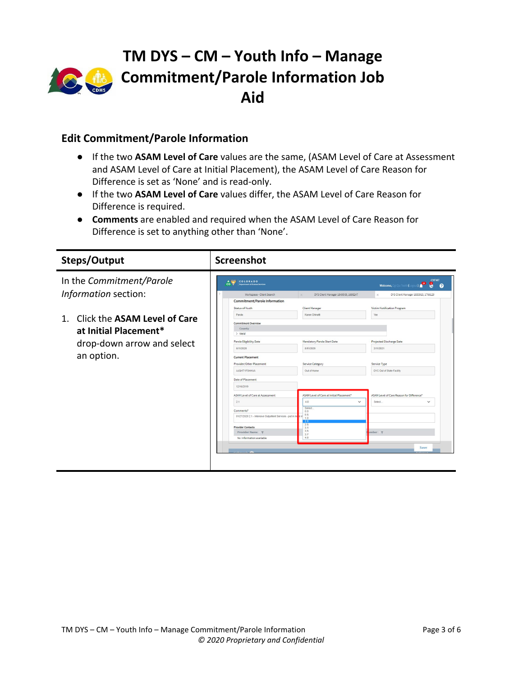

## <span id="page-2-0"></span>**Edit Commitment/Parole Information**

- If the two **ASAM Level of Care** values are the same, (ASAM Level of Care at Assessment and ASAM Level of Care at Initial Placement), the ASAM Level of Care Reason for Difference is set as 'None' and is read-only.
- If the two **ASAM Level of Care** values differ, the ASAM Level of Care Reason for Difference is required.
- **Comments** are enabled and required when the ASAM Level of Care Reason for Difference is set to anything other than 'None'.

| Steps/Output                       | <b>Screenshot</b>                                                       |                                          |                                                                             |
|------------------------------------|-------------------------------------------------------------------------|------------------------------------------|-----------------------------------------------------------------------------|
| In the Commitment/Parole           | A CONS<br>COLORADO<br><b>CO</b><br><b>Department of Human Services</b>  |                                          | <b>CYFMT</b><br>ß,<br>$\mathbf{C}$<br>$\bullet$<br>Welcome, Cgi Qa Test5 (I |
| Information section:               | Workspace - Client Search                                               | DYS Client Manager 1849509, 1698247      | DYS Client Manager 1853915, 1766129                                         |
|                                    | <b>Commitment/Parole Information</b>                                    |                                          |                                                                             |
|                                    | Status of Youth                                                         | <b>Client Manager</b>                    | Victim Notification Program                                                 |
|                                    | Parole                                                                  | Karen Chinatti                           | Yes                                                                         |
| Click the ASAM Level of Care<br>1. | <b>Commitment Overview</b>                                              |                                          |                                                                             |
| at Initial Placement*              | County                                                                  |                                          |                                                                             |
|                                    | $>$ Weld                                                                |                                          |                                                                             |
| drop-down arrow and select         | Parole Eligibility Date                                                 | Mandatory Parole Start Date              | <b>Projected Discharge Date</b>                                             |
|                                    | 6/11/2020                                                               | 8/11/2020                                | 2/11/2021                                                                   |
| an option.                         | <b>Current Placement</b>                                                |                                          |                                                                             |
|                                    | Provider/Other Placement                                                | Service Category                         | Service Type                                                                |
|                                    | <b>AJOHTYFSHHVA</b>                                                     | Out of Home                              | DYC Out of State Facility                                                   |
|                                    | Date of Placement                                                       |                                          |                                                                             |
|                                    | 12/16/2019                                                              |                                          |                                                                             |
|                                    | ASAM Level of Care at Assessment                                        | ASAM Level of Care at Initial Placement" | ASAM Level of Care Reason for Difference"                                   |
|                                    | 2.1<br>4.0                                                              | $\checkmark$                             | Select<br>$\checkmark$                                                      |
|                                    | Comments"<br>0.0                                                        | Select.                                  |                                                                             |
|                                    | 0.5<br>01/27/2020 2.1 - Intensive Outpatient Services - put in m<br>1.0 |                                          |                                                                             |
|                                    | 2.1<br>2.5                                                              |                                          |                                                                             |
|                                    | <b>Provider Contacts</b><br>3.1<br>3.5<br>Provider Name <b>T</b>        |                                          | $umber \tau$                                                                |
|                                    | 3.7<br>4.0<br>No information available                                  |                                          |                                                                             |
|                                    |                                                                         |                                          |                                                                             |
|                                    |                                                                         |                                          | Save                                                                        |
|                                    |                                                                         |                                          |                                                                             |
|                                    |                                                                         |                                          |                                                                             |
|                                    |                                                                         |                                          |                                                                             |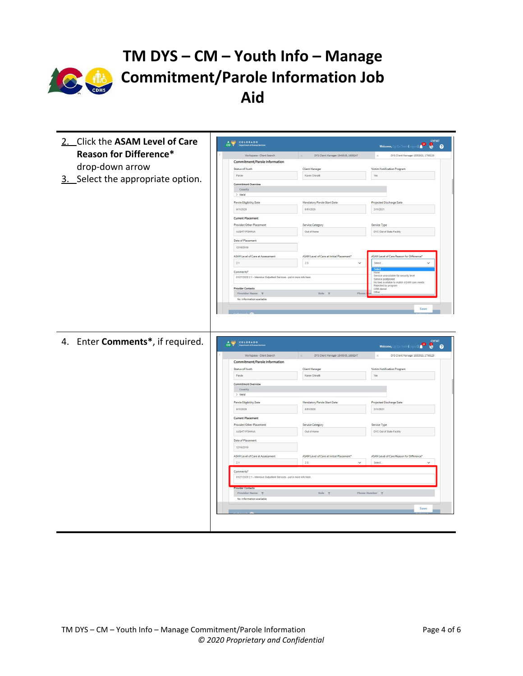

# **TM DYS – CM – Youth Info – Manage Commitment/Parole Information Job Aid**

| 2. Click the ASAM Level of Care   | CO PADO                                                                              |                                          | <b>CYFMT</b><br>Welcome, Cgi Qa Test5 (Logout)<br>8 <sub>o</sub>               |
|-----------------------------------|--------------------------------------------------------------------------------------|------------------------------------------|--------------------------------------------------------------------------------|
| <b>Reason for Difference*</b>     | Workspace - Client Search                                                            | DYS Client Manager 1849509, 1698247      | DYS Client Manager 1853915, 1766129                                            |
|                                   | <b>Commitment/Parole Information</b>                                                 |                                          |                                                                                |
| drop-down arrow                   | Status of Youth                                                                      | <b>Client Manager</b>                    | Victim Notification Program                                                    |
|                                   | Parole                                                                               | Karen Chinatti                           | Yes                                                                            |
| 3. Select the appropriate option. | <b>Commitment Overview</b>                                                           |                                          |                                                                                |
|                                   | County                                                                               |                                          |                                                                                |
|                                   | $>$ Weld                                                                             |                                          |                                                                                |
|                                   | Parole Eligibility Date                                                              | Mandatory Parole Start Date              | Projected Discharge Date                                                       |
|                                   | 6/11/2020                                                                            | 8/11/2020                                | 2/11/2021                                                                      |
|                                   | <b>Current Placement</b>                                                             |                                          |                                                                                |
|                                   | Provider/Other Placement                                                             | Service Category                         | Service Type                                                                   |
|                                   | AJQHTYFSHHVA                                                                         | Out of Home                              | DYC Out of State Facility                                                      |
|                                   | Date of Placement                                                                    |                                          |                                                                                |
|                                   | 12/16/2019                                                                           |                                          |                                                                                |
|                                   | ASAM Level of Care at Assessment                                                     | ASAM Level of Care at Initial Placement" | ASAM Level of Care Reason for Difference"                                      |
|                                   | 2.1                                                                                  | 2.5<br>$\check{~}$                       | $\checkmark$<br>Select.                                                        |
|                                   | Comments*                                                                            |                                          | None                                                                           |
|                                   | 01/27/2020 2.1 - Intensive Outpatient Services - put in more info here.              |                                          | Service unavailable for security level<br>Service postponed                    |
|                                   | <b>Provider Contacts</b>                                                             |                                          | No bed available to match ASAM care needs<br>Rejected by program<br>CRB denial |
|                                   | Provider Name $\top$                                                                 | Role<br>Phon                             | Other                                                                          |
|                                   | No information available                                                             |                                          |                                                                                |
|                                   |                                                                                      |                                          |                                                                                |
| 4. Enter Comments*, if required.  | COLORADO                                                                             |                                          | <b>CYFMT</b><br>Welcome, Cgi Qa Test5 (Lo                                      |
|                                   | Workspace - Client Search                                                            | DYS Client Manager 1849509, 1698247      | 0 <sup>o</sup><br>8 <sub>o</sub><br>DYS Client Manager 1853915, 1766129        |
|                                   | <b>Commitment/Parole Information</b>                                                 |                                          |                                                                                |
|                                   | Status of Youth                                                                      | <b>Client Manager</b>                    | Victim Notification Program                                                    |
|                                   | Parole                                                                               | Karen Chinatti                           | Yes                                                                            |
|                                   | <b>Commitment Overview</b>                                                           |                                          |                                                                                |
|                                   | County                                                                               |                                          |                                                                                |
|                                   | $>$ Weld                                                                             |                                          |                                                                                |
|                                   | <b>Parole Eligibility Date</b>                                                       | Mandatory Parole Start Date              | Projected Discharge Date                                                       |
|                                   | 6/11/2020                                                                            | 8/11/2020                                | 2/11/2021                                                                      |
|                                   | <b>Current Placement</b>                                                             |                                          |                                                                                |
|                                   | Provider/Other Placement                                                             | Service Category                         | Service Type                                                                   |
|                                   | AJQHTYFSHHVA                                                                         | Out of Home                              | DYC Out of State Facility                                                      |
|                                   | Date of Placement                                                                    |                                          |                                                                                |
|                                   | 12/16/2019                                                                           |                                          |                                                                                |
|                                   | ASAM Level of Care at Assessment                                                     | ASAM Level of Care at Initial Placement" | ASAM Level of Care Reason for Difference"                                      |
|                                   | 2.1                                                                                  | 25<br>$\checkmark$                       | Select.<br>$\check{~}$                                                         |
|                                   | Comments*<br>01/27/2020 2.1 - Intensive Outpatient Services - put in more info here. |                                          |                                                                                |
|                                   |                                                                                      |                                          |                                                                                |
|                                   | Provider Name $\P$                                                                   | Role $\P$                                | Phone Number $\overline{\tau}$                                                 |
|                                   | No information available                                                             |                                          |                                                                                |
|                                   |                                                                                      |                                          | Save                                                                           |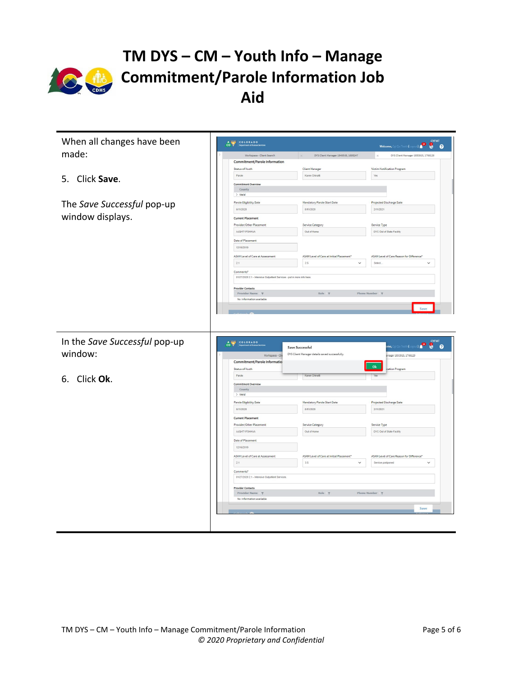

| When all changes have been    | CO PRIMER                                                               |                                                | <b>CYFMT</b><br>Welcome, Cgi Qa Test5 (Logout)<br>$\bullet$ $\bullet$ |
|-------------------------------|-------------------------------------------------------------------------|------------------------------------------------|-----------------------------------------------------------------------|
| made:                         | Workspace - Client Search                                               | DYS Client Manager 1849509, 1698247            | DYS Client Manager 1853915, 1766129                                   |
|                               | Commitment/Parole Information                                           |                                                |                                                                       |
|                               | Status of Youth                                                         | <b>Client Manager</b>                          | Victim Notification Program                                           |
| 5. Click Save.                | Parole                                                                  | Karen Chinatti                                 | Yes                                                                   |
|                               | Commitment Overview                                                     |                                                |                                                                       |
|                               | County                                                                  |                                                |                                                                       |
|                               | $>$ Weld                                                                |                                                |                                                                       |
| The Save Successful pop-up    | <b>Parole Eligibility Date</b>                                          | Mandatory Parole Start Date                    | Projected Discharge Date                                              |
|                               | 6/11/2020                                                               | 8/11/2020                                      | 2/11/2021                                                             |
| window displays.              | <b>Current Placement</b>                                                |                                                |                                                                       |
|                               | Provider/Other Placement                                                | Service Category                               | Service Type                                                          |
|                               | AJQHTYFSHHVA                                                            | Out of Home                                    | DYC Out of State Facility                                             |
|                               |                                                                         |                                                |                                                                       |
|                               | Date of Placement                                                       |                                                |                                                                       |
|                               | 12/16/2019                                                              |                                                |                                                                       |
|                               | ASAM Level of Care at Assessment                                        | ASAM Level of Care at Initial Placement*       | ASAM Level of Care Reason for Difference"                             |
|                               | 2.1                                                                     | 25<br>$\checkmark$                             | Select<br>$\checkmark$                                                |
|                               | Comments*                                                               |                                                |                                                                       |
|                               | 01/27/2020 2.1 - Intensive Outpatient Services - put in more info here. |                                                |                                                                       |
|                               |                                                                         |                                                |                                                                       |
|                               | <b>Provider Contacts</b>                                                | Role $\tau$                                    | Phone Number $\overline{\tau}$                                        |
|                               | Provider Name<br>No information available                               |                                                |                                                                       |
|                               |                                                                         |                                                |                                                                       |
|                               |                                                                         |                                                |                                                                       |
| In the Save Successful pop-up | COLORADO                                                                | <b>Save Successful</b>                         | <b>CYFMT</b><br>pme, Cgi Qa Test5 (Logout) <b>(MD D D D D</b>         |
| window:                       | Workspace - Cli                                                         | DYS Client Manager details saved successfully. | nager 1853915, 1766129                                                |
|                               | Commitment/Parole Informatio                                            |                                                |                                                                       |
|                               | Status of Youth                                                         |                                                | Ok<br>cation Program                                                  |
|                               | Parole                                                                  | Karen Chinatt                                  |                                                                       |
| 6. Click Ok.                  | Commitment Overview                                                     |                                                |                                                                       |
|                               | County                                                                  |                                                |                                                                       |
|                               | $>$ Weld                                                                |                                                |                                                                       |
|                               | Parole Eligibility Date                                                 | Mandatory Parole Start Date                    | Projected Discharge Date                                              |
|                               | 6/11/2020                                                               | 8/11/2020                                      | 2/11/2021                                                             |
|                               | <b>Current Placement</b>                                                |                                                |                                                                       |
|                               | Provider/Other Placement                                                | Service Category                               | Service Type                                                          |
|                               | AJQHTYFSHHVA                                                            | Out of Home                                    | DYC Out of State Facility                                             |
|                               | Date of Placement                                                       |                                                |                                                                       |
|                               | 12/16/2019                                                              |                                                |                                                                       |
|                               |                                                                         |                                                |                                                                       |
|                               | ASAM Level of Care at Assessment                                        | ASAM Level of Care at Initial Placement*       | ASAM Level of Care Reason for Difference'                             |
|                               | 2.1                                                                     | 3.5<br>$\check{~}$                             | Service postponed<br>$\checkmark$                                     |
|                               | Comments*                                                               |                                                |                                                                       |
|                               | 01/27/2020 2.1 - Intensive Outpatient Services                          |                                                |                                                                       |
|                               |                                                                         |                                                |                                                                       |
|                               | <b>Provider Contacts</b><br>Provider Name T                             | Role $\P$                                      | Phone Number $\overline{\tau}$                                        |
|                               | No information available                                                |                                                |                                                                       |
|                               |                                                                         |                                                |                                                                       |
|                               |                                                                         |                                                | Save                                                                  |
|                               |                                                                         |                                                |                                                                       |